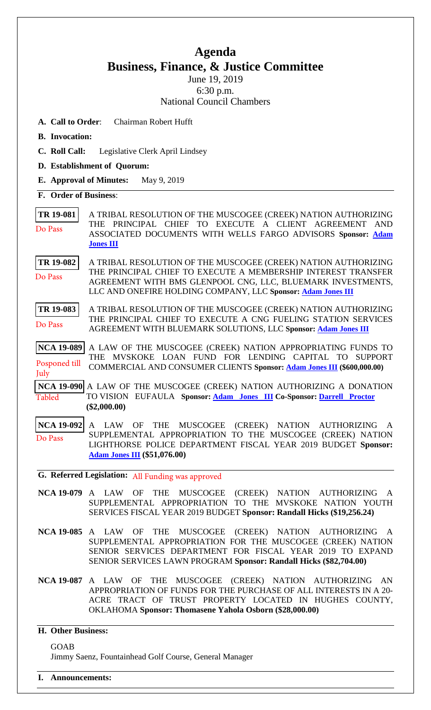## **Agenda Business, Finance, & Justice Committee**

June 19, 2019 6:30 p.m. National Council Chambers

- **A. Call to Order**: Chairman Robert Hufft
- **B. Invocation:**
- **C. Roll Call:** Legislative Clerk April Lindsey
- **D. Establishment of Quorum:**
- **E. Approval of Minutes:** May 9, 2019

**F. Order of Business**:

**[TR 19-081](bills/19-081.pdf)** A TRIBAL RESOLUTION OF THE MUSCOGEE (CREEK) NATION AUTHORIZING THE PRINCIPAL CHIEF TO EXECUTE A CLIENT AGREEMENT AND ASSOCIATED DOCUMENTS WITH WELLS FARGO ADVISORS **Sponsor: [Adam](mailto:ajones@mcn-nsn.gov)  [Jones III](mailto:ajones@mcn-nsn.gov)**  Do Pass

**[TR 19-082](bills/19-082.pdf)** A TRIBAL RESOLUTION OF THE MUSCOGEE (CREEK) NATION AUTHORIZING THE PRINCIPAL CHIEF TO EXECUTE A MEMBERSHIP INTEREST TRANSFER AGREEMENT WITH BMS GLENPOOL CNG, LLC, BLUEMARK INVESTMENTS, LLC AND ONEFIRE HOLDING COMPANY, LLC **Sponsor: [Adam Jones III](mailto:mrajones@mcn-nsn.gov)** Do Pass

**[TR 19-083](bills/19-083.pdf)** A TRIBAL RESOLUTION OF THE MUSCOGEE (CREEK) NATION AUTHORIZING THE PRINCIPAL CHIEF TO EXECUTE A CNG FUELING STATION SERVICES AGREEMENT WITH BLUEMARK SOLUTIONS, LLC **Sponsor: [Adam Jones III](mailto:mrajones@mcn-nsn.gov)** Do Pass

**[NCA 19-089](bills/NCA19-089.pdf)** A LAW OF THE MUSCOGEE (CREEK) NATION APPROPRIATING FUNDS TO THE MVSKOKE LOAN FUND FOR LENDING CAPITAL TO SUPPORT COMMERCIAL AND CONSUMER CLIENTS **Sponsor: [Adam Jones III](mailto:mrajones@mcn-nsn.gov) (\$600,000.00)**  Posponed till July

**[NCA 19-090](bills/NCA19-090.pdf)** A LAW OF THE MUSCOGEE (CREEK) NATION AUTHORIZING A DONATION Tabled TO VISION EUFAULA **Sponsor: A[dam Jones III Co](mailto:ajones@mcn-nsn.gov)-Sponsor: Darr[ell Proctor](mailto:dproctor@mcnnc.com) (\$2,000.00)**

**[NCA 19-092](bills/NCA19-092.pdf) A LAW OF THE MUSCOGEE (CREEK) NATION AUTHORIZING** SUPPLEMENTAL APPROPRIATION TO THE MUSCOGEE (CREEK) NATION LIGHTHORSE POLICE DEPARTMENT FISCAL YEAR 2019 BUDGET **Sponsor: [Adam Jones III](mailto:mrajones@mcn-nsn.gov) (\$51,076.00)**  Do Pass

**G. Referred Legislation:** All Funding was approved

- **NCA 19-079** A LAW OF THE MUSCOGEE (CREEK) NATION AUTHORIZING A SUPPLEMENTAL APPROPRIATION TO THE MVSKOKE NATION YOUTH SERVICES FISCAL YEAR 2019 BUDGET **Sponsor: Randall Hicks (\$19,256.24)**
- **NCA 19-085** A LAW OF THE MUSCOGEE (CREEK) NATION AUTHORIZING A SUPPLEMENTAL APPROPRIATION FOR THE MUSCOGEE (CREEK) NATION SENIOR SERVICES DEPARTMENT FOR FISCAL YEAR 2019 TO EXPAND SENIOR SERVICES LAWN PROGRAM **Sponsor: Randall Hicks (\$82,704.00)**
- **NCA 19-087** A LAW OF THE MUSCOGEE (CREEK) NATION AUTHORIZING AN APPROPRIATION OF FUNDS FOR THE PURCHASE OF ALL INTERESTS IN A 20- ACRE TRACT OF TRUST PROPERTY LOCATED IN HUGHES COUNTY, OKLAHOMA **Sponsor: Thomasene Yahola Osborn (\$28,000.00)**

## **H. Other Business:**

GOAB Jimmy Saenz, Fountainhead Golf Course, General Manager

**I. Announcements:**